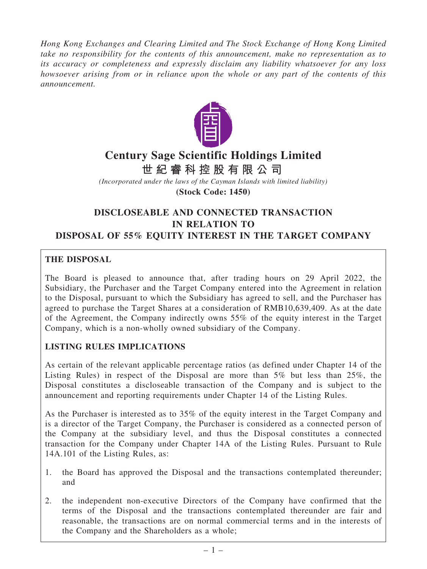Hong Kong Exchanges and Clearing Limited and The Stock Exchange of Hong Kong Limited take no responsibility for the contents of this announcement, make no representation as to its accuracy or completeness and expressly disclaim any liability whatsoever for any loss howsoever arising from or in reliance upon the whole or any part of the contents of this announcement.



# **Century Sage Scientific Holdings Limited**

**世 紀 睿 科 控 股 有 限 公 司**

*(Incorporated under the laws of the Cayman Islands with limited liability)* **(Stock Code: 1450)**

# DISCLOSEABLE AND CONNECTED TRANSACTION IN RELATION TO DISPOSAL OF 55% EQUITY INTEREST IN THE TARGET COMPANY

# THE DISPOSAL

The Board is pleased to announce that, after trading hours on 29 April 2022, the Subsidiary, the Purchaser and the Target Company entered into the Agreement in relation to the Disposal, pursuant to which the Subsidiary has agreed to sell, and the Purchaser has agreed to purchase the Target Shares at a consideration of RMB10,639,409. As at the date of the Agreement, the Company indirectly owns 55% of the equity interest in the Target Company, which is a non-wholly owned subsidiary of the Company.

# LISTING RULES IMPLICATIONS

As certain of the relevant applicable percentage ratios (as defined under Chapter 14 of the Listing Rules) in respect of the Disposal are more than 5% but less than 25%, the Disposal constitutes a discloseable transaction of the Company and is subject to the announcement and reporting requirements under Chapter 14 of the Listing Rules.

As the Purchaser is interested as to 35% of the equity interest in the Target Company and is a director of the Target Company, the Purchaser is considered as a connected person of the Company at the subsidiary level, and thus the Disposal constitutes a connected transaction for the Company under Chapter 14A of the Listing Rules. Pursuant to Rule 14A.101 of the Listing Rules, as:

- 1. the Board has approved the Disposal and the transactions contemplated thereunder; and
- 2. the independent non-executive Directors of the Company have confirmed that the terms of the Disposal and the transactions contemplated thereunder are fair and reasonable, the transactions are on normal commercial terms and in the interests of the Company and the Shareholders as a whole;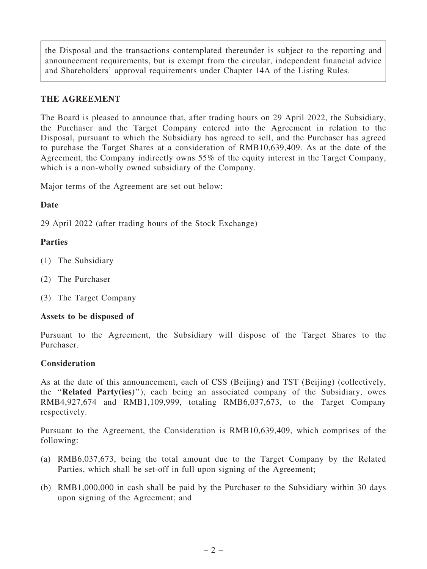the Disposal and the transactions contemplated thereunder is subject to the reporting and announcement requirements, but is exempt from the circular, independent financial advice and Shareholders' approval requirements under Chapter 14A of the Listing Rules.

# THE AGREEMENT

The Board is pleased to announce that, after trading hours on 29 April 2022, the Subsidiary, the Purchaser and the Target Company entered into the Agreement in relation to the Disposal, pursuant to which the Subsidiary has agreed to sell, and the Purchaser has agreed to purchase the Target Shares at a consideration of RMB10,639,409. As at the date of the Agreement, the Company indirectly owns 55% of the equity interest in the Target Company, which is a non-wholly owned subsidiary of the Company.

Major terms of the Agreement are set out below:

# Date

29 April 2022 (after trading hours of the Stock Exchange)

# Parties

- (1) The Subsidiary
- (2) The Purchaser
- (3) The Target Company

# Assets to be disposed of

Pursuant to the Agreement, the Subsidiary will dispose of the Target Shares to the Purchaser.

# Consideration

As at the date of this announcement, each of CSS (Beijing) and TST (Beijing) (collectively, the ''Related Party(ies)''), each being an associated company of the Subsidiary, owes RMB4,927,674 and RMB1,109,999, totaling RMB6,037,673, to the Target Company respectively.

Pursuant to the Agreement, the Consideration is RMB10,639,409, which comprises of the following:

- (a) RMB6,037,673, being the total amount due to the Target Company by the Related Parties, which shall be set-off in full upon signing of the Agreement;
- (b) RMB1,000,000 in cash shall be paid by the Purchaser to the Subsidiary within 30 days upon signing of the Agreement; and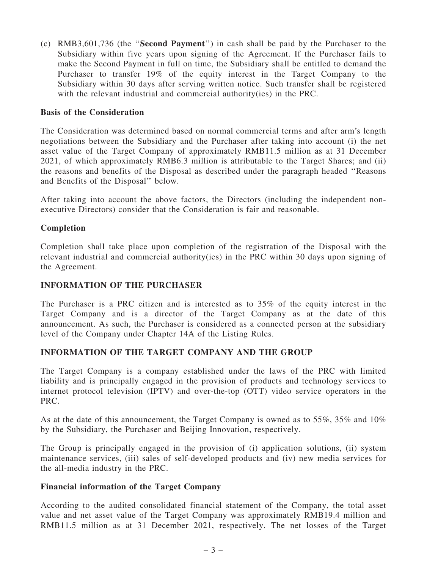(c) RMB3,601,736 (the ''Second Payment'') in cash shall be paid by the Purchaser to the Subsidiary within five years upon signing of the Agreement. If the Purchaser fails to make the Second Payment in full on time, the Subsidiary shall be entitled to demand the Purchaser to transfer 19% of the equity interest in the Target Company to the Subsidiary within 30 days after serving written notice. Such transfer shall be registered with the relevant industrial and commercial authority(ies) in the PRC.

#### Basis of the Consideration

The Consideration was determined based on normal commercial terms and after arm's length negotiations between the Subsidiary and the Purchaser after taking into account (i) the net asset value of the Target Company of approximately RMB11.5 million as at 31 December 2021, of which approximately RMB6.3 million is attributable to the Target Shares; and (ii) the reasons and benefits of the Disposal as described under the paragraph headed ''Reasons and Benefits of the Disposal'' below.

After taking into account the above factors, the Directors (including the independent nonexecutive Directors) consider that the Consideration is fair and reasonable.

#### Completion

Completion shall take place upon completion of the registration of the Disposal with the relevant industrial and commercial authority(ies) in the PRC within 30 days upon signing of the Agreement.

#### INFORMATION OF THE PURCHASER

The Purchaser is a PRC citizen and is interested as to 35% of the equity interest in the Target Company and is a director of the Target Company as at the date of this announcement. As such, the Purchaser is considered as a connected person at the subsidiary level of the Company under Chapter 14A of the Listing Rules.

#### INFORMATION OF THE TARGET COMPANY AND THE GROUP

The Target Company is a company established under the laws of the PRC with limited liability and is principally engaged in the provision of products and technology services to internet protocol television (IPTV) and over-the-top (OTT) video service operators in the PRC.

As at the date of this announcement, the Target Company is owned as to 55%, 35% and 10% by the Subsidiary, the Purchaser and Beijing Innovation, respectively.

The Group is principally engaged in the provision of (i) application solutions, (ii) system maintenance services, (iii) sales of self-developed products and (iv) new media services for the all-media industry in the PRC.

#### Financial information of the Target Company

According to the audited consolidated financial statement of the Company, the total asset value and net asset value of the Target Company was approximately RMB19.4 million and RMB11.5 million as at 31 December 2021, respectively. The net losses of the Target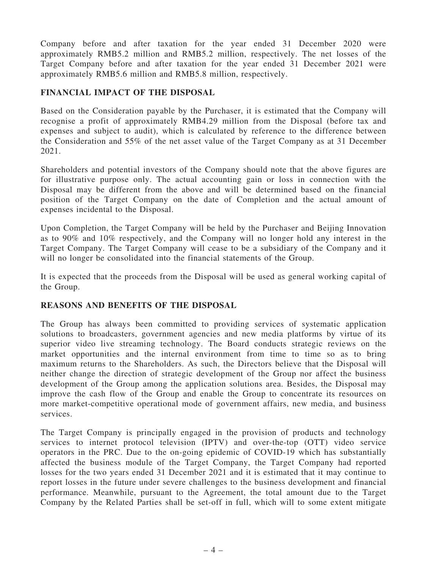Company before and after taxation for the year ended 31 December 2020 were approximately RMB5.2 million and RMB5.2 million, respectively. The net losses of the Target Company before and after taxation for the year ended 31 December 2021 were approximately RMB5.6 million and RMB5.8 million, respectively.

# FINANCIAL IMPACT OF THE DISPOSAL

Based on the Consideration payable by the Purchaser, it is estimated that the Company will recognise a profit of approximately RMB4.29 million from the Disposal (before tax and expenses and subject to audit), which is calculated by reference to the difference between the Consideration and 55% of the net asset value of the Target Company as at 31 December 2021.

Shareholders and potential investors of the Company should note that the above figures are for illustrative purpose only. The actual accounting gain or loss in connection with the Disposal may be different from the above and will be determined based on the financial position of the Target Company on the date of Completion and the actual amount of expenses incidental to the Disposal.

Upon Completion, the Target Company will be held by the Purchaser and Beijing Innovation as to 90% and 10% respectively, and the Company will no longer hold any interest in the Target Company. The Target Company will cease to be a subsidiary of the Company and it will no longer be consolidated into the financial statements of the Group.

It is expected that the proceeds from the Disposal will be used as general working capital of the Group.

# REASONS AND BENEFITS OF THE DISPOSAL

The Group has always been committed to providing services of systematic application solutions to broadcasters, government agencies and new media platforms by virtue of its superior video live streaming technology. The Board conducts strategic reviews on the market opportunities and the internal environment from time to time so as to bring maximum returns to the Shareholders. As such, the Directors believe that the Disposal will neither change the direction of strategic development of the Group nor affect the business development of the Group among the application solutions area. Besides, the Disposal may improve the cash flow of the Group and enable the Group to concentrate its resources on more market-competitive operational mode of government affairs, new media, and business services.

The Target Company is principally engaged in the provision of products and technology services to internet protocol television (IPTV) and over-the-top (OTT) video service operators in the PRC. Due to the on-going epidemic of COVID-19 which has substantially affected the business module of the Target Company, the Target Company had reported losses for the two years ended 31 December 2021 and it is estimated that it may continue to report losses in the future under severe challenges to the business development and financial performance. Meanwhile, pursuant to the Agreement, the total amount due to the Target Company by the Related Parties shall be set-off in full, which will to some extent mitigate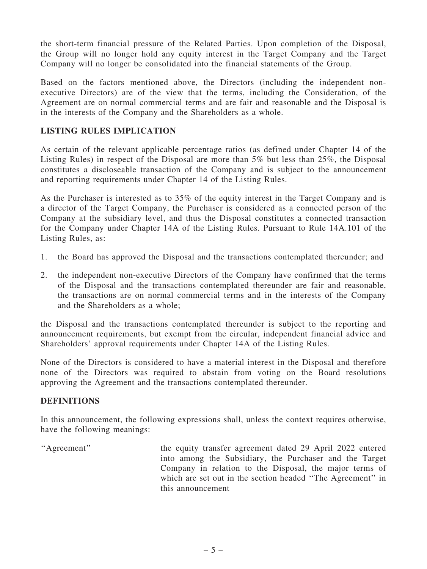the short-term financial pressure of the Related Parties. Upon completion of the Disposal, the Group will no longer hold any equity interest in the Target Company and the Target Company will no longer be consolidated into the financial statements of the Group.

Based on the factors mentioned above, the Directors (including the independent nonexecutive Directors) are of the view that the terms, including the Consideration, of the Agreement are on normal commercial terms and are fair and reasonable and the Disposal is in the interests of the Company and the Shareholders as a whole.

# LISTING RULES IMPLICATION

As certain of the relevant applicable percentage ratios (as defined under Chapter 14 of the Listing Rules) in respect of the Disposal are more than 5% but less than 25%, the Disposal constitutes a discloseable transaction of the Company and is subject to the announcement and reporting requirements under Chapter 14 of the Listing Rules.

As the Purchaser is interested as to 35% of the equity interest in the Target Company and is a director of the Target Company, the Purchaser is considered as a connected person of the Company at the subsidiary level, and thus the Disposal constitutes a connected transaction for the Company under Chapter 14A of the Listing Rules. Pursuant to Rule 14A.101 of the Listing Rules, as:

- 1. the Board has approved the Disposal and the transactions contemplated thereunder; and
- 2. the independent non-executive Directors of the Company have confirmed that the terms of the Disposal and the transactions contemplated thereunder are fair and reasonable, the transactions are on normal commercial terms and in the interests of the Company and the Shareholders as a whole;

the Disposal and the transactions contemplated thereunder is subject to the reporting and announcement requirements, but exempt from the circular, independent financial advice and Shareholders' approval requirements under Chapter 14A of the Listing Rules.

None of the Directors is considered to have a material interest in the Disposal and therefore none of the Directors was required to abstain from voting on the Board resolutions approving the Agreement and the transactions contemplated thereunder.

# **DEFINITIONS**

In this announcement, the following expressions shall, unless the context requires otherwise, have the following meanings:

"Agreement" the equity transfer agreement dated 29 April 2022 entered into among the Subsidiary, the Purchaser and the Target Company in relation to the Disposal, the major terms of which are set out in the section headed ''The Agreement'' in this announcement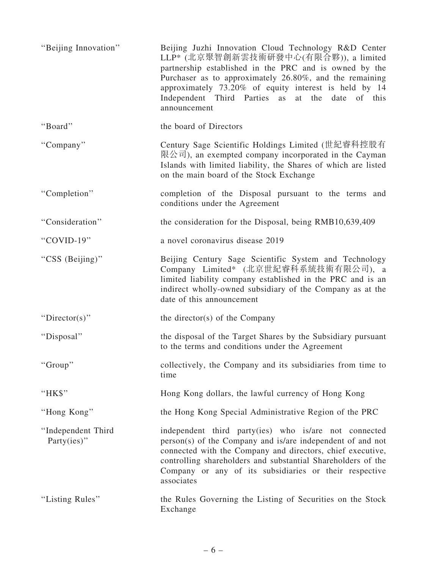| "Beijing Innovation"                  | Beijing Juzhi Innovation Cloud Technology R&D Center<br>LLP* (北京聚智創新雲技術研發中心(有限合夥)), a limited<br>partnership established in the PRC and is owned by the<br>Purchaser as to approximately 26.80%, and the remaining<br>approximately 73.20% of equity interest is held by 14<br>Independent Third Parties as at the date of this<br>announcement |
|---------------------------------------|-------------------------------------------------------------------------------------------------------------------------------------------------------------------------------------------------------------------------------------------------------------------------------------------------------------------------------------------------|
| "Board"                               | the board of Directors                                                                                                                                                                                                                                                                                                                          |
| "Company"                             | Century Sage Scientific Holdings Limited (世紀睿科控股有<br>限公司), an exempted company incorporated in the Cayman<br>Islands with limited liability, the Shares of which are listed<br>on the main board of the Stock Exchange                                                                                                                          |
| "Completion"                          | completion of the Disposal pursuant to the terms and<br>conditions under the Agreement                                                                                                                                                                                                                                                          |
| "Consideration"                       | the consideration for the Disposal, being RMB10,639,409                                                                                                                                                                                                                                                                                         |
| "COVID-19"                            | a novel coronavirus disease 2019                                                                                                                                                                                                                                                                                                                |
| "CSS (Beijing)"                       | Beijing Century Sage Scientific System and Technology<br>Company Limited* (北京世紀睿科系統技術有限公司), a<br>limited liability company established in the PRC and is an<br>indirect wholly-owned subsidiary of the Company as at the<br>date of this announcement                                                                                           |
| "Director(s)"                         | the director(s) of the Company                                                                                                                                                                                                                                                                                                                  |
| "Disposal"                            | the disposal of the Target Shares by the Subsidiary pursuant<br>to the terms and conditions under the Agreement                                                                                                                                                                                                                                 |
| "Group"                               | collectively, the Company and its subsidiaries from time to<br>time                                                                                                                                                                                                                                                                             |
| "HK\$"                                | Hong Kong dollars, the lawful currency of Hong Kong                                                                                                                                                                                                                                                                                             |
| "Hong Kong"                           | the Hong Kong Special Administrative Region of the PRC                                                                                                                                                                                                                                                                                          |
| "Independent Third<br>Party $(ies)$ " | independent third party(ies) who is/are not connected<br>person(s) of the Company and is/are independent of and not<br>connected with the Company and directors, chief executive,<br>controlling shareholders and substantial Shareholders of the<br>Company or any of its subsidiaries or their respective<br>associates                       |
| "Listing Rules"                       | the Rules Governing the Listing of Securities on the Stock<br>Exchange                                                                                                                                                                                                                                                                          |